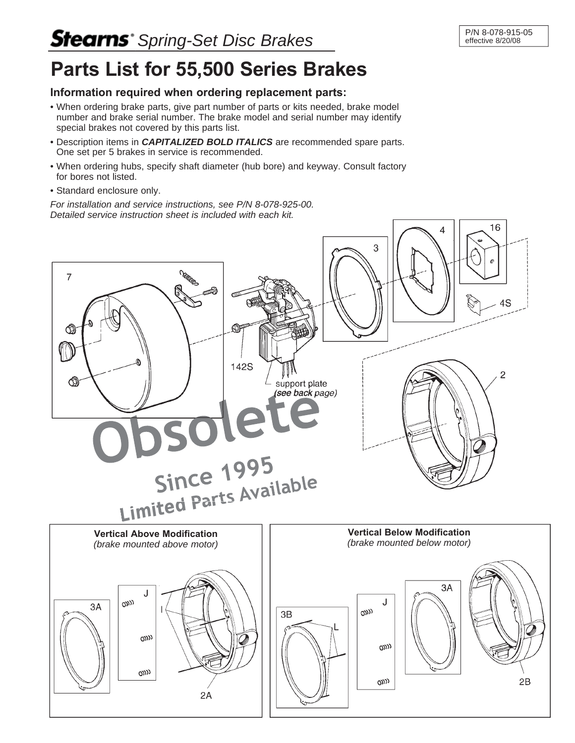## **Stearns** Spring-Set Disc Brakes

## **Parts List for 55,500 Series Brakes**

## **Information required when ordering replacement parts:**

- When ordering brake parts, give part number of parts or kits needed, brake model number and brake serial number. The brake model and serial number may identify special brakes not covered by this parts list.
- Description items in *CAPITALIZED BOLD ITALICS* are recommended spare parts. One set per 5 brakes in service is recommended.
- When ordering hubs, specify shaft diameter (hub bore) and keyway. Consult factory for bores not listed.
- Standard enclosure only.

*For installation and service instructions, see P/N 8-078-925-00. Detailed service instruction sheet is included with each kit.*

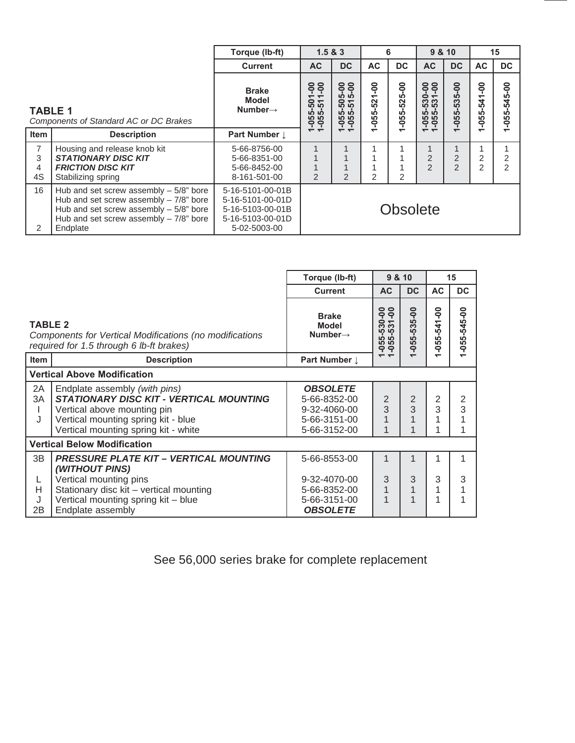|                                             |                                                                                                                                                                                          | Torque (lb-ft)                                                                               | 1.5 & 8.3                                                             |                                                                                                                                 | 6                                                          |                                                        | 9 & 10                                                  |                                      | 15                                                        |                                 |
|---------------------------------------------|------------------------------------------------------------------------------------------------------------------------------------------------------------------------------------------|----------------------------------------------------------------------------------------------|-----------------------------------------------------------------------|---------------------------------------------------------------------------------------------------------------------------------|------------------------------------------------------------|--------------------------------------------------------|---------------------------------------------------------|--------------------------------------|-----------------------------------------------------------|---------------------------------|
|                                             |                                                                                                                                                                                          | <b>Current</b>                                                                               | AC                                                                    | <b>DC</b>                                                                                                                       | AC <sub></sub>                                             | DC.                                                    | AC                                                      | DC                                   | AC                                                        | DC.                             |
| <b>TABLE 1</b>                              | Components of Standard AC or DC Brakes                                                                                                                                                   | <b>Brake</b><br>Model<br>Number $\rightarrow$                                                | <u>ခုခု</u><br>$\div$ $\div$<br>$\frac{5}{9}$<br>က် ကို<br><b>999</b> | 5-00<br>$\overline{0}$<br><b>IO</b><br>0<br>$\overline{\phantom{0}}$<br>ιō<br>ဖာ<br>LÒ<br><u>M</u><br><b>LO</b><br>ഹ<br>ę<br>ခု | <b>OO-</b><br>$\overline{\phantom{0}}$<br>52<br>LÒ,<br>-05 | <u>ခု</u><br>ιó<br>$\overline{52}$<br>LÒ<br>$\ddot{5}$ | ခု ခု<br>$\ddot{\bullet}$<br>53<br>က် ကိ<br>က် ကိ<br>Ğġ | <b>OO</b><br>ທ<br>53<br>ທ<br>LÕ<br>0 | ခို<br>$\overline{\phantom{0}}$<br>4<br>ιò<br>ഹ<br>ഹ<br>ę | <u>ခု</u><br>$-545$<br>$-055 -$ |
| <b>Item</b>                                 | <b>Description</b>                                                                                                                                                                       | <b>Part Number 1</b>                                                                         | $\div$ $\div$                                                         | $\overline{\phantom{a}}$                                                                                                        | $\overline{\phantom{0}}$                                   |                                                        | $\overline{\phantom{a}}$                                |                                      |                                                           | ↽                               |
| $\overline{7}$<br>3<br>$\overline{4}$<br>4S | Housing and release knob kit<br><b>STATIONARY DISC KIT</b><br><b>FRICTION DISC KIT</b><br>Stabilizing spring                                                                             | 5-66-8756-00<br>5-66-8351-00<br>5-66-8452-00<br>8-161-501-00                                 | 2                                                                     | 2                                                                                                                               | 2                                                          | 2                                                      | 1<br>$\overline{2}$<br>$\mathcal{P}$                    | $\overline{2}$<br>$\overline{2}$     | 2                                                         | 2<br>$\overline{2}$             |
| 16<br>2                                     | Hub and set screw assembly $-5/8$ " bore<br>Hub and set screw assembly $-7/8$ " bore<br>Hub and set screw assembly $-5/8$ " bore<br>Hub and set screw assembly $-7/8$ " bore<br>Endplate | 5-16-5101-00-01B<br>5-16-5101-00-01D<br>5-16-5103-00-01B<br>5-16-5103-00-01D<br>5-02-5003-00 | <b>Obsolete</b>                                                       |                                                                                                                                 |                                                            |                                                        |                                                         |                                      |                                                           |                                 |

|                                    |                                                                                                                                                                                               | Torque (lb-ft)                                                                  | 9 & 10                                             |                               | 15                       |                   |  |  |  |  |
|------------------------------------|-----------------------------------------------------------------------------------------------------------------------------------------------------------------------------------------------|---------------------------------------------------------------------------------|----------------------------------------------------|-------------------------------|--------------------------|-------------------|--|--|--|--|
|                                    |                                                                                                                                                                                               | <b>Current</b>                                                                  | <b>AC</b>                                          | <b>DC</b>                     | <b>AC</b>                | <b>DC</b>         |  |  |  |  |
| <b>TABLE 2</b>                     | Components for Vertical Modifications (no modifications<br>required for 1.5 through 6 lb-ft brakes)                                                                                           | <b>Brake</b><br><b>Model</b><br>Number $\rightarrow$                            | ဓိုင်္<br>ہ ف<br><b>333</b><br>ຜ່ ຜ່<br><b>999</b> | $-055 - 535 - 00$             | $-055 - 541 - 00$        | $-055 - 545 - 00$ |  |  |  |  |
| <b>Item</b>                        | <b>Description</b>                                                                                                                                                                            | Part Number 1                                                                   | $\overline{\phantom{a}}$                           | $\overline{\phantom{0}}$      | $\overline{\phantom{0}}$ |                   |  |  |  |  |
| <b>Vertical Above Modification</b> |                                                                                                                                                                                               |                                                                                 |                                                    |                               |                          |                   |  |  |  |  |
| 2A<br>3A<br>J                      | Endplate assembly (with pins)<br><b>STATIONARY DISC KIT - VERTICAL MOUNTING</b><br>Vertical above mounting pin<br>Vertical mounting spring kit - blue<br>Vertical mounting spring kit - white | <b>OBSOLETE</b><br>5-66-8352-00<br>9-32-4060-00<br>5-66-3151-00<br>5-66-3152-00 | $\overline{2}$<br>3<br>1                           | $\overline{2}$<br>3<br>1<br>1 | $\overline{2}$<br>3<br>4 | 2<br>3            |  |  |  |  |
| <b>Vertical Below Modification</b> |                                                                                                                                                                                               |                                                                                 |                                                    |                               |                          |                   |  |  |  |  |
| 3B                                 | <b>PRESSURE PLATE KIT - VERTICAL MOUNTING</b><br>(WITHOUT PINS)                                                                                                                               | 5-66-8553-00                                                                    | 1                                                  |                               |                          |                   |  |  |  |  |
| L<br>H<br>J<br>2B                  | Vertical mounting pins<br>Stationary disc kit - vertical mounting<br>Vertical mounting spring kit - blue<br>Endplate assembly                                                                 | 9-32-4070-00<br>5-66-8352-00<br>5-66-3151-00<br><b>OBSOLETE</b>                 | 3<br>$\overline{1}$<br>1                           | 3<br>$\mathbf{1}$<br>1        | 3<br>1<br>1              | 3                 |  |  |  |  |

See 56,000 series brake for complete replacement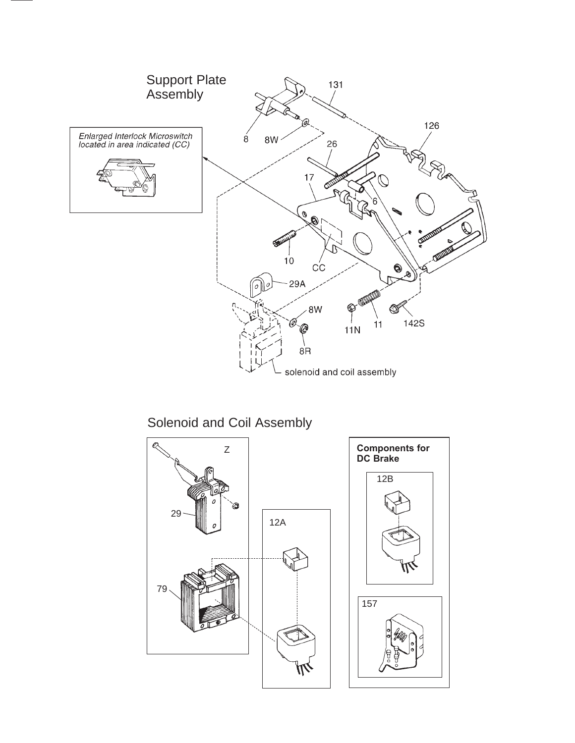

Solenoid and Coil Assembly